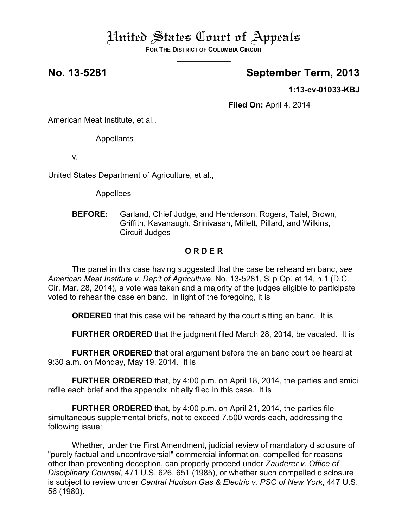# United States Court of Appeals

**FOR THE DISTRICT OF COLUMBIA CIRCUIT**  $\overline{\phantom{a}}$ 

## **No. 13-5281 September Term, 2013**

**1:13-cv-01033-KBJ**

**Filed On:** April 4, 2014

American Meat Institute, et al.,

Appellants

v.

United States Department of Agriculture, et al.,

Appellees

**BEFORE:** Garland, Chief Judge, and Henderson, Rogers, Tatel, Brown, Griffith, Kavanaugh, Srinivasan, Millett, Pillard, and Wilkins, Circuit Judges

## **O R D E R**

The panel in this case having suggested that the case be reheard en banc, *see American Meat Institute v. Dep't of Agriculture*, No. 13-5281, Slip Op. at 14, n.1 (D.C. Cir. Mar. 28, 2014), a vote was taken and a majority of the judges eligible to participate voted to rehear the case en banc. In light of the foregoing, it is

**ORDERED** that this case will be reheard by the court sitting en banc. It is

**FURTHER ORDERED** that the judgment filed March 28, 2014, be vacated. It is

**FURTHER ORDERED** that oral argument before the en banc court be heard at 9:30 a.m. on Monday, May 19, 2014. It is

**FURTHER ORDERED** that, by 4:00 p.m. on April 18, 2014, the parties and amici refile each brief and the appendix initially filed in this case. It is

**FURTHER ORDERED** that, by 4:00 p.m. on April 21, 2014, the parties file simultaneous supplemental briefs, not to exceed 7,500 words each, addressing the following issue:

Whether, under the First Amendment, judicial review of mandatory disclosure of "purely factual and uncontroversial" commercial information, compelled for reasons other than preventing deception, can properly proceed under *Zauderer v. Office of Disciplinary Counsel*, 471 U.S. 626, 651 (1985), or whether such compelled disclosure is subject to review under *Central Hudson Gas & Electric v. PSC of New York*, 447 U.S. 56 (1980).